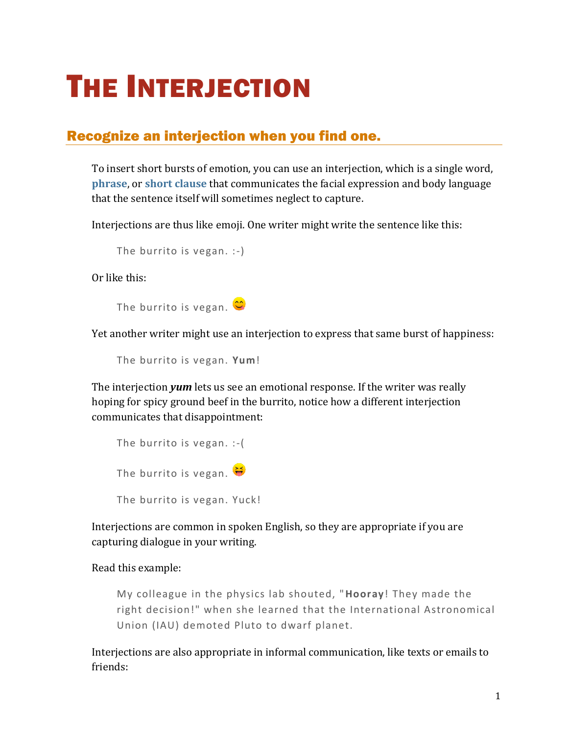## THE INTERJECTION

## Recognize an interjection when you find one.

To insert short bursts of emotion, you can use an interjection, which is a single word, **[phrase](https://chompchomp.com/terms/phrase.htm)**, or **[short clause](https://chompchomp.com/terms/clause.htm)** that communicates the facial expression and body language that the sentence itself will sometimes neglect to capture.

Interjections are thus like emoji. One writer might write the sentence like this:

```
The burrito is vegan. :-)
```
Or like this:

The burrito is vegan.  $\circledcirc$ 

Yet another writer might use an interjection to express that same burst of happiness:

The burrito is vegan. **Yum**!

The interjection *yum* lets us see an emotional response. If the writer was really hoping for spicy ground beef in the burrito, notice how a different interjection communicates that disappointment:

| The burrito is vegan. $:-($ |  |  |
|-----------------------------|--|--|
| The burrito is vegan.       |  |  |
| The burrito is vegan. Yuck! |  |  |

Interjections are common in spoken English, so they are appropriate if you are capturing dialogue in your writing.

Read this example:

My colleague in the physics lab shouted, "**Hooray**! They made the right decision!" when she learned that the International Astronomical Union (IAU) demoted Pluto to dwarf planet.

Interjections are also appropriate in informal communication, like texts or emails to friends: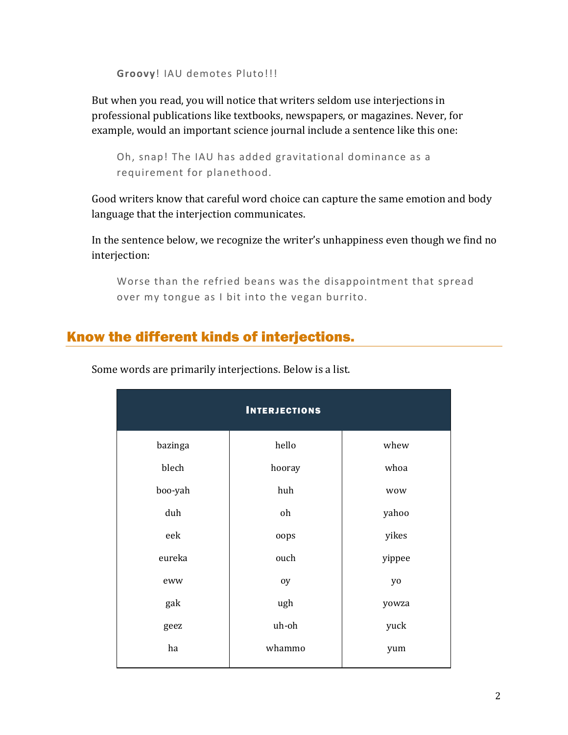```
Groovy! IAU demotes Pluto!!!
```
But when you read, you will notice that writers seldom use interjections in professional publications like textbooks, newspapers, or magazines. Never, for example, would an important science journal include a sentence like this one:

```
Oh, snap! The IAU has added gravitational dominance as a 
requirement for planethood.
```
Good writers know that careful word choice can capture the same emotion and body language that the interjection communicates.

In the sentence below, we recognize the writer's unhappiness even though we find no interjection:

Worse than the refried beans was the disappointment that spread over my tongue as I bit into the vegan burrito.

## Know the different kinds of interjections.

| <b>INTERJECTIONS</b> |        |            |  |  |  |
|----------------------|--------|------------|--|--|--|
| bazinga              | hello  | whew       |  |  |  |
| blech                | hooray | whoa       |  |  |  |
| boo-yah              | huh    | <b>WOW</b> |  |  |  |
| duh                  | oh     | yahoo      |  |  |  |
| eek                  | oops   | yikes      |  |  |  |
| eureka               | ouch   | yippee     |  |  |  |
| eww                  | oy     | yo         |  |  |  |
| gak                  | ugh    | yowza      |  |  |  |
| geez                 | uh-oh  | yuck       |  |  |  |
| ha                   | whammo | yum        |  |  |  |
|                      |        |            |  |  |  |

Some words are primarily interjections. Below is a list.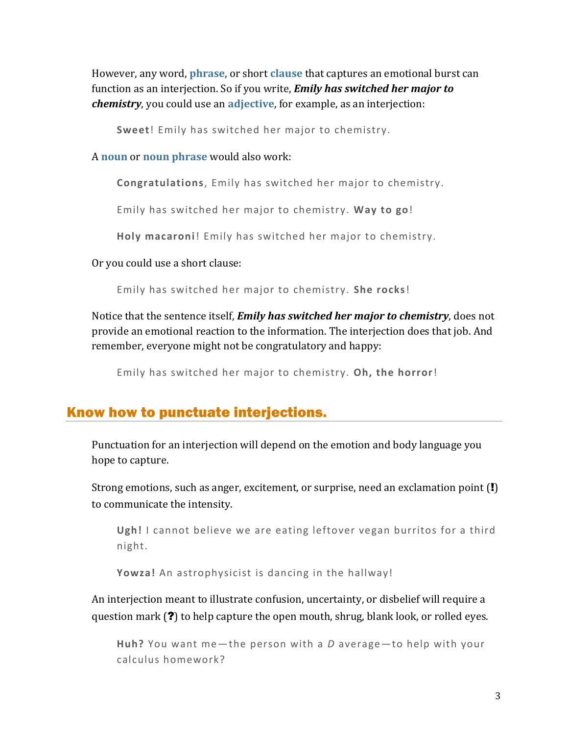However, any word, **[phrase](https://chompchomp.com/terms/phrase.htm)**, or short **[clause](https://chompchomp.com/terms/clause.htm)** that captures an emotional burst can function as an interjection. So if you write, *Emily has switched her major to chemistry*, you could use an **[adjective](https://chompchomp.com/terms/adjective.htm)**, for example, as an interjection:

**Sweet**! Emily has switched her major to chemistry.

A **[noun](https://chompchomp.com/terms/noun.htm)** or **[noun phrase](https://chompchomp.com/terms/nounphrase.htm)** would also work:

**Congratulations**, Emily has switched her major to chemistry.

Emily has switched her major to chemistry. **Way to go**!

**Holy macaroni**! Emily has switched her major to chemistry.

Or you could use a short clause:

Emily has switched her major to chemistry. **She rocks**!

Notice that the sentence itself, *Emily has switched her major to chemistry*, does not provide an emotional reaction to the information. The interjection does that job. And remember, everyone might not be congratulatory and happy:

Emily has switched her major to chemistry. **Oh, the horror**!

## Know how to punctuate interjections.

Punctuation for an interjection will depend on the emotion and body language you hope to capture.

Strong emotions, such as anger, excitement, or surprise, need an exclamation point (!) to communicate the intensity.

**Ugh!** I cannot believe we are eating leftover vegan burritos for a third night.

**Yowza!** An astrophysicist is dancing in the hallway!

An interjection meant to illustrate confusion, uncertainty, or disbelief will require a question mark (?) to help capture the open mouth, shrug, blank look, or rolled eyes.

```
Huh? You want me—the person with a D average—to help with your 
calculus homework?
```